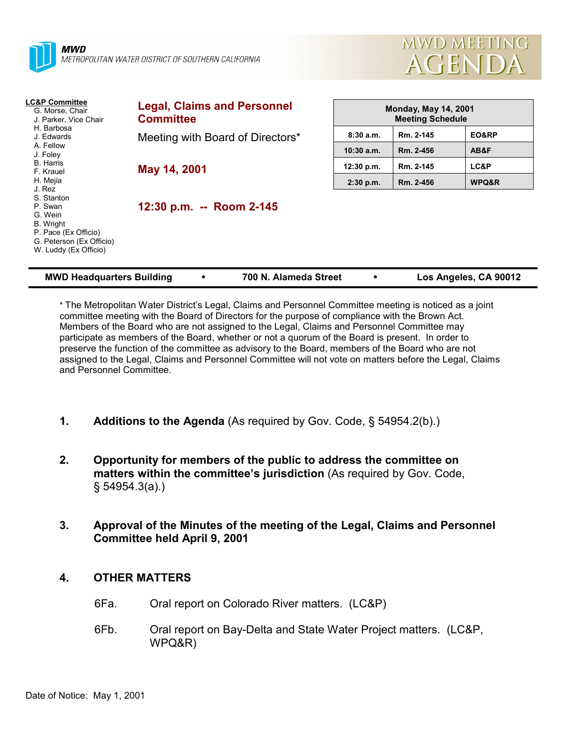



| <b>LC&amp;P Committee</b><br>G. Morse, Chair<br>J. Parker, Vice Chair                                                             | <b>Legal, Claims and Personnel</b><br><b>Committee</b> | <b>Monday, May 14, 2001</b><br><b>Meeting Schedule</b> |           |       |
|-----------------------------------------------------------------------------------------------------------------------------------|--------------------------------------------------------|--------------------------------------------------------|-----------|-------|
| H. Barbosa<br>J. Edwards                                                                                                          | Meeting with Board of Directors*                       | 8:30a.m.                                               | Rm. 2-145 | EO&RP |
| A. Fellow<br>J. Foley                                                                                                             |                                                        | $10:30$ a.m.                                           | Rm. 2-456 | AB&F  |
| <b>B.</b> Harris<br>F. Krauel                                                                                                     | May 14, 2001                                           | 12:30 p.m.                                             | Rm. 2-145 | LC&P  |
| H. Mejia<br>J. Rez                                                                                                                |                                                        | $2:30$ p.m.                                            | Rm. 2-456 | WPQ&R |
| S. Stanton<br>P. Swan<br>G. Wein<br><b>B.</b> Wright<br>P. Pace (Ex Officio)<br>G. Peterson (Ex Officio)<br>W. Luddy (Ex Officio) | 12:30 p.m. -- Room 2-145                               |                                                        |           |       |

| <b>MWD Headquarters Building</b> |  | 700 N. Alameda Street |  | Los Angeles, CA 90012 |
|----------------------------------|--|-----------------------|--|-----------------------|
|----------------------------------|--|-----------------------|--|-----------------------|

\* The Metropolitan Water Districtís Legal, Claims and Personnel Committee meeting is noticed as a joint committee meeting with the Board of Directors for the purpose of compliance with the Brown Act. Members of the Board who are not assigned to the Legal, Claims and Personnel Committee may participate as members of the Board, whether or not a quorum of the Board is present. In order to preserve the function of the committee as advisory to the Board, members of the Board who are not assigned to the Legal, Claims and Personnel Committee will not vote on matters before the Legal, Claims and Personnel Committee.

- **1. Additions to the Agenda** (As required by Gov. Code, ß 54954.2(b).)
- **2. Opportunity for members of the public to address the committee on** matters within the committee's jurisdiction (As required by Gov. Code, ß 54954.3(a).)
- **3. Approval of the Minutes of the meeting of the Legal, Claims and Personnel Committee held April 9, 2001**

## **4. OTHER MATTERS**

- 6Fa. Oral report on Colorado River matters. (LC&P)
- 6Fb. Oral report on Bay-Delta and State Water Project matters. (LC&P, WPQ&R)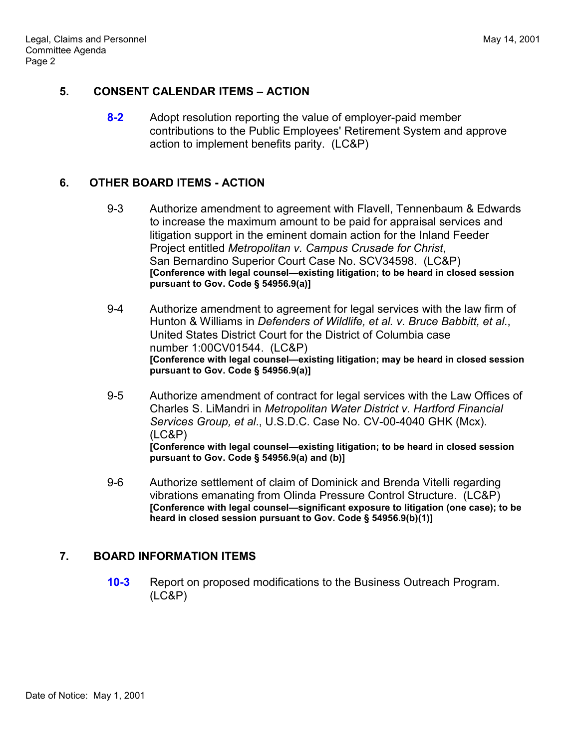### **5. CONSENT CALENDAR ITEMS – ACTION**

**8-2** Adopt resolution reporting the value of employer-paid member contributions to the Public Employees' Retirement System and approve action to implement benefits parity. (LC&P)

# **6. OTHER BOARD ITEMS - ACTION**

- 9-3 Authorize amendment to agreement with Flavell, Tennenbaum & Edwards to increase the maximum amount to be paid for appraisal services and litigation support in the eminent domain action for the Inland Feeder Project entitled *Metropolitan v. Campus Crusade for Christ*, San Bernardino Superior Court Case No. SCV34598. (LC&P) **[Conference with legal counsel—existing litigation; to be heard in closed session pursuant to Gov. Code ß 54956.9(a)]**
- 9-4 Authorize amendment to agreement for legal services with the law firm of Hunton & Williams in *Defenders of Wildlife, et al. v. Bruce Babbitt, et al*., United States District Court for the District of Columbia case number 1:00CV01544. (LC&P) [Conference with legal counsel-existing litigation; may be heard in closed session **pursuant to Gov. Code ß 54956.9(a)]**
- 9-5 Authorize amendment of contract for legal services with the Law Offices of Charles S. LiMandri in *Metropolitan Water District v. Hartford Financial Services Group, et al*., U.S.D.C. Case No. CV-00-4040 GHK (Mcx). (LC&P) **[Conference with legal counsel—existing litigation; to be heard in closed session pursuant to Gov. Code ß 54956.9(a) and (b)]**
- 9-6 Authorize settlement of claim of Dominick and Brenda Vitelli regarding vibrations emanating from Olinda Pressure Control Structure. (LC&P) **[Conference with legal counsel—significant exposure to litigation (one case); to be heard in closed session pursuant to Gov. Code ß 54956.9(b)(1)]**

## **7. BOARD INFORMATION ITEMS**

**10-3** Report on proposed modifications to the Business Outreach Program. (LC&P)